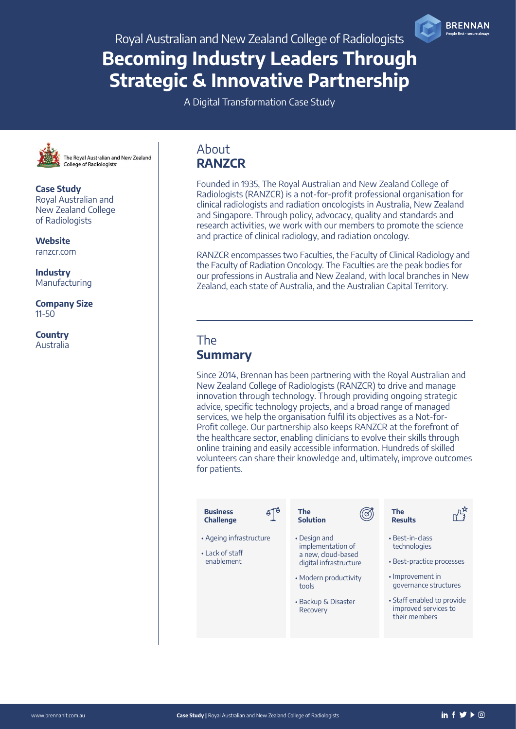Becoming Industry Leaders Through Strategic & Innovative Partnership

A Digital Transformation Case Study



The Royal Australian and New Zealand **College of Radiologists** 

Case Study Royal Australian and New Zealand College of Radiologists

**Website** [ranzcr.com](http://www.ranzcr.com)

**Industry** Manufacturing

Company Size 11-50

**Country** Australia

### About **RANZCR**

Founded in 1935, The Royal Australian and New Zealand College of Radiologists (RANZCR) is a not-for-profit professional organisation for clinical radiologists and radiation oncologists in Australia, New Zealand and Singapore. Through policy, advocacy, quality and standards and research activities, we work with our members to promote the science and practice of clinical radiology, and radiation oncology.

RANZCR encompasses two Faculties, the Faculty of Clinical Radiology and the Faculty of Radiation Oncology. The Faculties are the peak bodies for our professions in Australia and New Zealand, with local branches in New Zealand, each state of Australia, and the Australian Capital Territory.

### The **Summary**

Since 2014, Brennan has been partnering with the Royal Australian and New Zealand College of Radiologists (RANZCR) to drive and manage innovation through technology. Through providing ongoing strategic advice, specific technology projects, and a broad range of managed services, we help the organisation fulfil its objectives as a Not-for-Profit college. Our partnership also keeps RANZCR at the forefront of the healthcare sector, enabling clinicians to evolve their skills through online training and easily accessible information. Hundreds of skilled volunteers can share their knowledge and, ultimately, improve outcomes for patients.

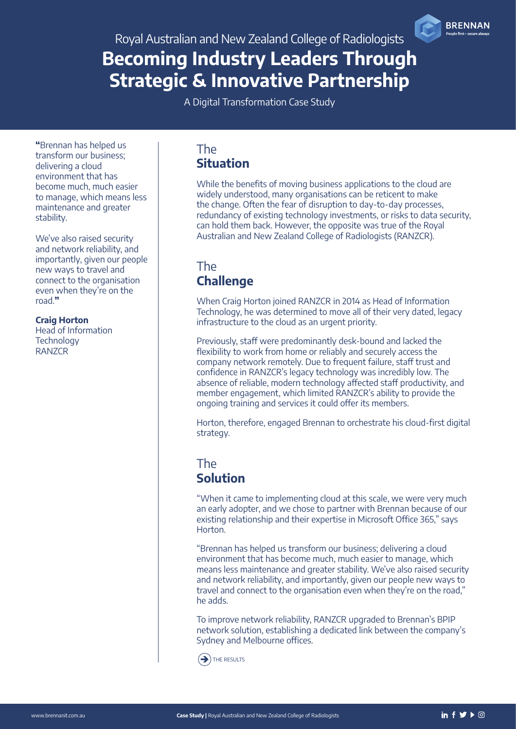# Becoming Industry Leaders Through Strategic & Innovative Partnership

A Digital Transformation Case Study

"Brennan has helped us transform our business; delivering a cloud environment that has become much, much easier to manage, which means less maintenance and greater stability.

We've also raised security and network reliability, and importantly, given our people new ways to travel and connect to the organisation even when they're on the road."

#### Craig Horton

Head of Information **Technology** RANZCR

### The Situation

While the benefits of moving business applications to the cloud are widely understood, many organisations can be reticent to make the change. Often the fear of disruption to day-to-day processes, redundancy of existing technology investments, or risks to data security, can hold them back. However, the opposite was true of the Royal Australian and New Zealand College of Radiologists (RANZCR).

### The **Challenge**

When Craig Horton joined RANZCR in 2014 as Head of Information Technology, he was determined to move all of their very dated, legacy infrastructure to the cloud as an urgent priority.

Previously, staff were predominantly desk-bound and lacked the flexibility to work from home or reliably and securely access the company network remotely. Due to frequent failure, staff trust and confidence in RANZCR's legacy technology was incredibly low. The absence of reliable, modern technology affected staff productivity, and member engagement, which limited RANZCR's ability to provide the ongoing training and services it could offer its members.

Horton, therefore, engaged Brennan to orchestrate his cloud-first digital strategy.

### The Solution

"When it came to implementing cloud at this scale, we were very much an early adopter, and we chose to partner with Brennan because of our existing relationship and their expertise in Microsoft Office 365," says Horton.

"Brennan has helped us transform our business; delivering a cloud environment that has become much, much easier to manage, which means less maintenance and greater stability. We've also raised security and network reliability, and importantly, given our people new ways to travel and connect to the organisation even when they're on the road," he adds.

To improve network reliability, RANZCR upgraded to Brennan's BPIP network solution, establishing a dedicated link between the company's Sydney and Melbourne offices.

 $\rightarrow$  [THE](#page-2-0) RESULTS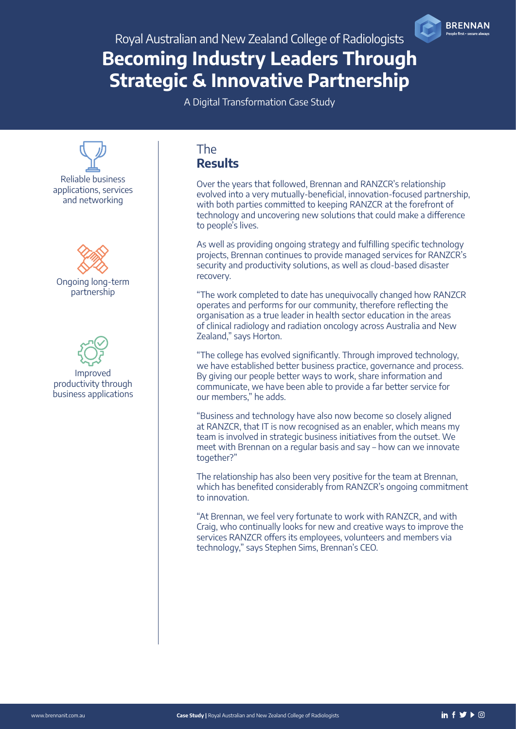# <span id="page-2-0"></span>Becoming Industry Leaders Through Strategic & Innovative Partnership

A Digital Transformation Case Study



### The **Results**

Over the years that followed, Brennan and RANZCR's relationship evolved into a very mutually-beneficial, innovation-focused partnership, with both parties committed to keeping RANZCR at the forefront of technology and uncovering new solutions that could make a difference to people's lives.

As well as providing ongoing strategy and fulfilling specific technology projects, Brennan continues to provide managed services for RANZCR's security and productivity solutions, as well as cloud-based disaster recovery.

"The work completed to date has unequivocally changed how RANZCR operates and performs for our community, therefore reflecting the organisation as a true leader in health sector education in the areas of clinical radiology and radiation oncology across Australia and New Zealand," says Horton.

"The college has evolved significantly. Through improved technology, we have established better business practice, governance and process. By giving our people better ways to work, share information and communicate, we have been able to provide a far better service for our members," he adds.

"Business and technology have also now become so closely aligned at RANZCR, that IT is now recognised as an enabler, which means my team is involved in strategic business initiatives from the outset. We meet with Brennan on a regular basis and say – how can we innovate together?"

The relationship has also been very positive for the team at Brennan, which has benefited considerably from RANZCR's ongoing commitment to innovation.

"At Brennan, we feel very fortunate to work with RANZCR, and with Craig, who continually looks for new and creative ways to improve the services RANZCR offers its employees, volunteers and members via technology," says Stephen Sims, Brennan's CEO.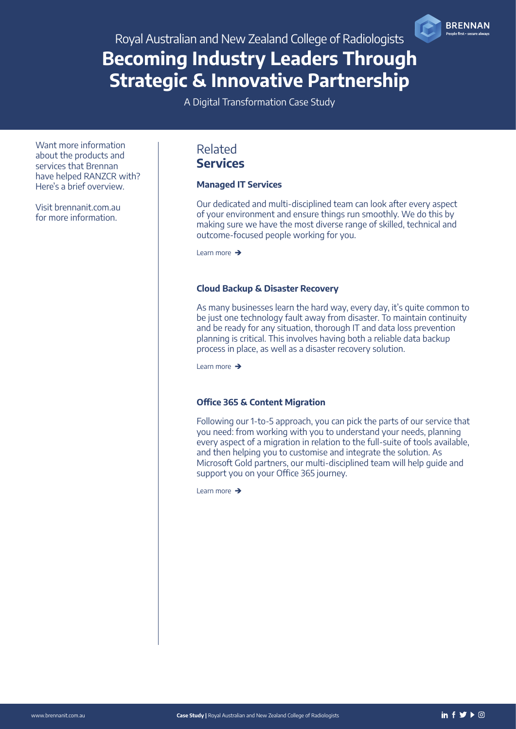# Becoming Industry Leaders Through Strategic & Innovative Partnership

A Digital Transformation Case Study

Want more information about the products and services that Brennan have helped RANZCR with? Here's a brief overview.

Visit [brennanit.com.au](http://brennanit.com.au) for more information.

### Related Services

#### Managed IT Services

Our dedicated and multi-disciplined team can look after every aspect of your environment and ensure things run smoothly. We do this by making sure we have the most diverse range of skilled, technical and outcome-focused people working for you.

[Learn more](https://www.brennanit.com.au/product-services/managed-it-services/)  $\rightarrow$ 

#### Cloud Backup & Disaster Recovery

As many businesses learn the hard way, every day, it's quite common to be just one technology fault away from disaster. To maintain continuity and be ready for any situation, thorough IT and data loss prevention planning is critical. This involves having both a reliable data backup process in place, as well as a disaster recovery solution.

[Learn more](https://www.brennanit.com.au/backup-disaster-recovery/)  $\rightarrow$ 

#### Office 365 & Content Migration

Following our 1-to-5 approach, you can pick the parts of our service that you need: from working with you to understand your needs, planning every aspect of a migration in relation to the full-suite of tools available, and then helping you to customise and integrate the solution. As Microsoft Gold partners, our multi-disciplined team will help guide and support you on your Office 365 journey.

[Learn more](https://www.brennanit.com.au/digital-workplace-solutions/office-365-content-migration/)  $\rightarrow$